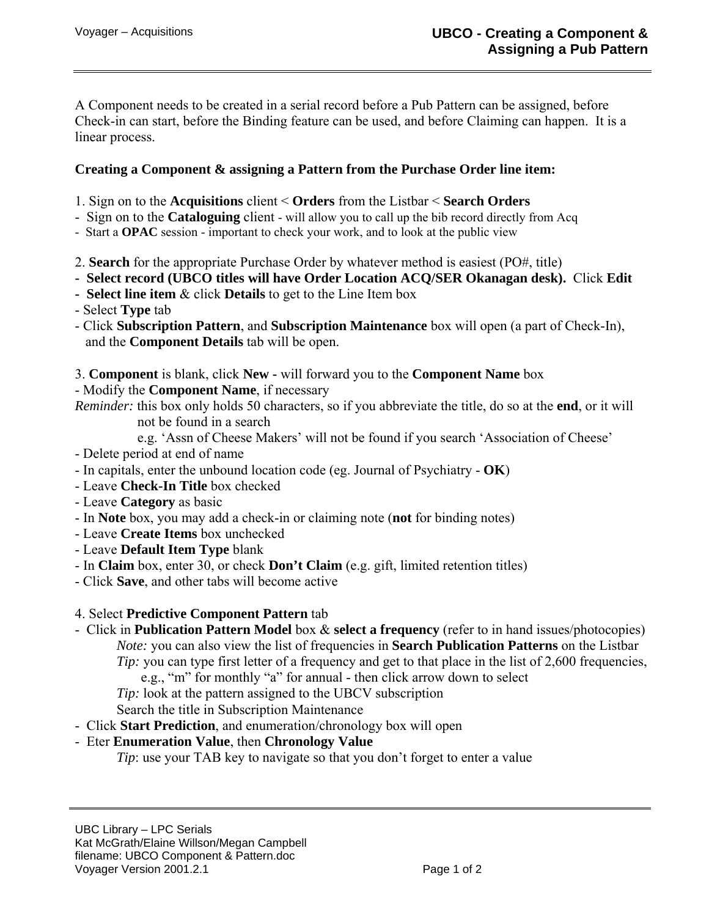A Component needs to be created in a serial record before a Pub Pattern can be assigned, before Check-in can start, before the Binding feature can be used, and before Claiming can happen. It is a linear process.

## **Creating a Component & assigning a Pattern from the Purchase Order line item:**

- 1. Sign on to the **Acquisitions** client < **Orders** from the Listbar < **Search Orders**
- Sign on to the **Cataloguing** client will allow you to call up the bib record directly from Acq
- Start a **OPAC** session important to check your work, and to look at the public view
- 2. **Search** for the appropriate Purchase Order by whatever method is easiest (PO#, title)
- **Select record (UBCO titles will have Order Location ACQ/SER Okanagan desk).** Click **Edit**
- **Select line item** & click **Details** to get to the Line Item box
- Select **Type** tab
- Click **Subscription Pattern**, and **Subscription Maintenance** box will open (a part of Check-In), and the **Component Details** tab will be open.
- 3. **Component** is blank, click **New** will forward you to the **Component Name** box
- Modify the **Component Name**, if necessary

*Reminder:* this box only holds 50 characters, so if you abbreviate the title, do so at the **end**, or it will not be found in a search

- e.g. 'Assn of Cheese Makers' will not be found if you search 'Association of Cheese'
- Delete period at end of name
- In capitals, enter the unbound location code (eg. Journal of Psychiatry **OK**)
- Leave **Check-In Title** box checked
- Leave **Category** as basic
- In **Note** box, you may add a check-in or claiming note (**not** for binding notes)
- Leave **Create Items** box unchecked
- Leave **Default Item Type** blank
- In **Claim** box, enter 30, or check **Don't Claim** (e.g. gift, limited retention titles)
- Click **Save**, and other tabs will become active

## 4. Select **Predictive Component Pattern** tab

- Click in **Publication Pattern Model** box & **select a frequency** (refer to in hand issues/photocopies) *Note:* you can also view the list of frequencies in **Search Publication Patterns** on the Listbar *Tip*: you can type first letter of a frequency and get to that place in the list of 2,600 frequencies, e.g., "m" for monthly "a" for annual - then click arrow down to select
	- *Tip:* look at the pattern assigned to the UBCV subscription

Search the title in Subscription Maintenance

- Click **Start Prediction**, and enumeration/chronology box will open
- Eter **Enumeration Value**, then **Chronology Value**
	- *Tip*: use your TAB key to navigate so that you don't forget to enter a value